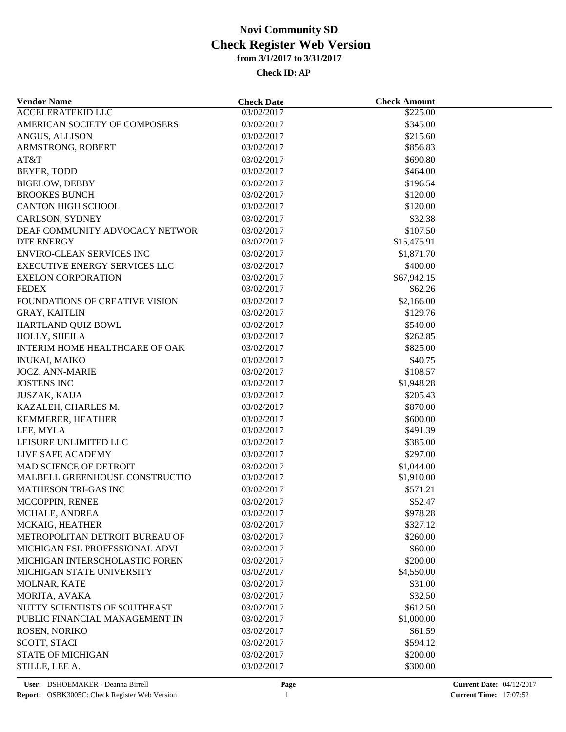| <b>Vendor Name</b>                   | <b>Check Date</b> | <b>Check Amount</b>   |  |
|--------------------------------------|-------------------|-----------------------|--|
| <b>ACCELERATEKID LLC</b>             | 03/02/2017        | \$225.00              |  |
| AMERICAN SOCIETY OF COMPOSERS        | 03/02/2017        | \$345.00              |  |
| ANGUS, ALLISON                       | 03/02/2017        | \$215.60              |  |
| ARMSTRONG, ROBERT                    | 03/02/2017        | \$856.83              |  |
| AT&T                                 | 03/02/2017        | \$690.80              |  |
| BEYER, TODD                          | 03/02/2017        | \$464.00              |  |
| <b>BIGELOW, DEBBY</b>                | 03/02/2017        | \$196.54              |  |
| <b>BROOKES BUNCH</b>                 | 03/02/2017        | \$120.00              |  |
| <b>CANTON HIGH SCHOOL</b>            | 03/02/2017        | \$120.00              |  |
| CARLSON, SYDNEY                      | 03/02/2017        | \$32.38               |  |
| DEAF COMMUNITY ADVOCACY NETWOR       | 03/02/2017        | \$107.50              |  |
| <b>DTE ENERGY</b>                    | 03/02/2017        | \$15,475.91           |  |
| <b>ENVIRO-CLEAN SERVICES INC</b>     | 03/02/2017        | \$1,871.70            |  |
| <b>EXECUTIVE ENERGY SERVICES LLC</b> | 03/02/2017        | \$400.00              |  |
| <b>EXELON CORPORATION</b>            | 03/02/2017        | \$67,942.15           |  |
| <b>FEDEX</b>                         | 03/02/2017        | \$62.26               |  |
| FOUNDATIONS OF CREATIVE VISION       | 03/02/2017        | \$2,166.00            |  |
| <b>GRAY, KAITLIN</b>                 | 03/02/2017        | \$129.76              |  |
| HARTLAND QUIZ BOWL                   | 03/02/2017        | \$540.00              |  |
| HOLLY, SHEILA                        | 03/02/2017        | \$262.85              |  |
| INTERIM HOME HEALTHCARE OF OAK       | 03/02/2017        | \$825.00              |  |
| <b>INUKAI, MAIKO</b>                 | 03/02/2017        | \$40.75               |  |
| <b>JOCZ, ANN-MARIE</b>               | 03/02/2017        | \$108.57              |  |
| <b>JOSTENS INC</b>                   | 03/02/2017        | \$1,948.28            |  |
| <b>JUSZAK, KAIJA</b>                 | 03/02/2017        | \$205.43              |  |
| KAZALEH, CHARLES M.                  | 03/02/2017        | \$870.00              |  |
| KEMMERER, HEATHER                    | 03/02/2017        | \$600.00              |  |
| LEE, MYLA                            | 03/02/2017        | \$491.39              |  |
| LEISURE UNLIMITED LLC                | 03/02/2017        | \$385.00              |  |
| LIVE SAFE ACADEMY                    | 03/02/2017        | \$297.00              |  |
| MAD SCIENCE OF DETROIT               | 03/02/2017        | \$1,044.00            |  |
| MALBELL GREENHOUSE CONSTRUCTIO       | 03/02/2017        | \$1,910.00            |  |
| MATHESON TRI-GAS INC                 | 03/02/2017        | \$571.21              |  |
| MCCOPPIN, RENEE                      | 03/02/2017        | \$52.47               |  |
| MCHALE, ANDREA                       | 03/02/2017        | \$978.28              |  |
| MCKAIG, HEATHER                      | 03/02/2017        | \$327.12              |  |
| METROPOLITAN DETROIT BUREAU OF       | 03/02/2017        | \$260.00              |  |
| MICHIGAN ESL PROFESSIONAL ADVI       | 03/02/2017        | \$60.00               |  |
| MICHIGAN INTERSCHOLASTIC FOREN       | 03/02/2017        | \$200.00              |  |
| MICHIGAN STATE UNIVERSITY            | 03/02/2017        | \$4,550.00            |  |
| MOLNAR, KATE                         | 03/02/2017        | \$31.00               |  |
| MORITA, AVAKA                        | 03/02/2017        | \$32.50               |  |
|                                      |                   |                       |  |
| NUTTY SCIENTISTS OF SOUTHEAST        | 03/02/2017        | \$612.50              |  |
| PUBLIC FINANCIAL MANAGEMENT IN       | 03/02/2017        | \$1,000.00<br>\$61.59 |  |
| ROSEN, NORIKO                        | 03/02/2017        |                       |  |
| <b>SCOTT, STACI</b>                  | 03/02/2017        | \$594.12              |  |
| <b>STATE OF MICHIGAN</b>             | 03/02/2017        | \$200.00              |  |
| STILLE, LEE A.                       | 03/02/2017        | \$300.00              |  |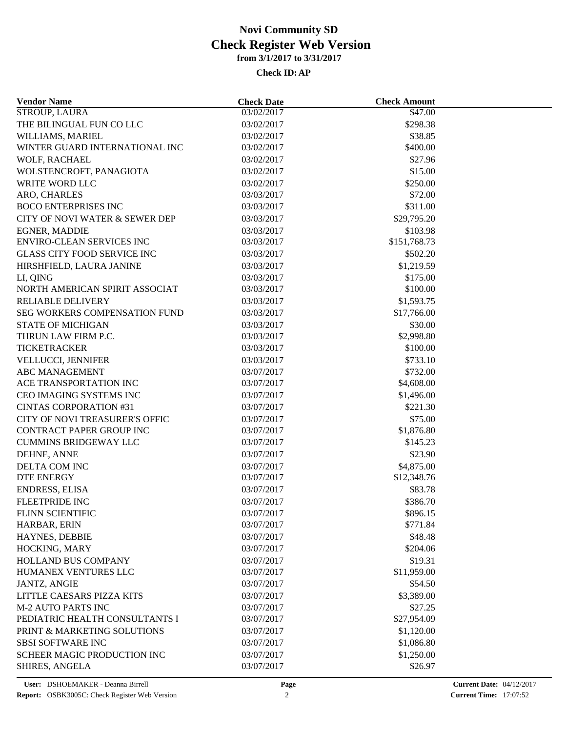| <b>Vendor Name</b>                    | <b>Check Date</b> | <b>Check Amount</b> |  |
|---------------------------------------|-------------------|---------------------|--|
| <b>STROUP, LAURA</b>                  | 03/02/2017        | \$47.00             |  |
| THE BILINGUAL FUN CO LLC              | 03/02/2017        | \$298.38            |  |
| WILLIAMS, MARIEL                      | 03/02/2017        | \$38.85             |  |
| WINTER GUARD INTERNATIONAL INC        | 03/02/2017        | \$400.00            |  |
| WOLF, RACHAEL                         | 03/02/2017        | \$27.96             |  |
| WOLSTENCROFT, PANAGIOTA               | 03/02/2017        | \$15.00             |  |
| <b>WRITE WORD LLC</b>                 | 03/02/2017        | \$250.00            |  |
| ARO, CHARLES                          | 03/03/2017        | \$72.00             |  |
| <b>BOCO ENTERPRISES INC</b>           | 03/03/2017        | \$311.00            |  |
| CITY OF NOVI WATER & SEWER DEP        | 03/03/2017        | \$29,795.20         |  |
| <b>EGNER, MADDIE</b>                  | 03/03/2017        | \$103.98            |  |
| <b>ENVIRO-CLEAN SERVICES INC</b>      | 03/03/2017        | \$151,768.73        |  |
| <b>GLASS CITY FOOD SERVICE INC</b>    | 03/03/2017        | \$502.20            |  |
| HIRSHFIELD, LAURA JANINE              | 03/03/2017        | \$1,219.59          |  |
| LI, QING                              | 03/03/2017        | \$175.00            |  |
| NORTH AMERICAN SPIRIT ASSOCIAT        | 03/03/2017        | \$100.00            |  |
| RELIABLE DELIVERY                     | 03/03/2017        | \$1,593.75          |  |
| SEG WORKERS COMPENSATION FUND         | 03/03/2017        | \$17,766.00         |  |
| <b>STATE OF MICHIGAN</b>              | 03/03/2017        | \$30.00             |  |
| THRUN LAW FIRM P.C.                   | 03/03/2017        | \$2,998.80          |  |
| TICKETRACKER                          | 03/03/2017        | \$100.00            |  |
| VELLUCCI, JENNIFER                    | 03/03/2017        | \$733.10            |  |
| <b>ABC MANAGEMENT</b>                 | 03/07/2017        | \$732.00            |  |
| ACE TRANSPORTATION INC                | 03/07/2017        | \$4,608.00          |  |
| CEO IMAGING SYSTEMS INC               | 03/07/2017        | \$1,496.00          |  |
| <b>CINTAS CORPORATION #31</b>         | 03/07/2017        | \$221.30            |  |
| <b>CITY OF NOVI TREASURER'S OFFIC</b> | 03/07/2017        | \$75.00             |  |
| CONTRACT PAPER GROUP INC              | 03/07/2017        | \$1,876.80          |  |
| <b>CUMMINS BRIDGEWAY LLC</b>          | 03/07/2017        | \$145.23            |  |
| DEHNE, ANNE                           | 03/07/2017        | \$23.90             |  |
| DELTA COM INC                         | 03/07/2017        | \$4,875.00          |  |
| <b>DTE ENERGY</b>                     | 03/07/2017        | \$12,348.76         |  |
| <b>ENDRESS, ELISA</b>                 | 03/07/2017        | \$83.78             |  |
| FLEETPRIDE INC                        | 03/07/2017        | \$386.70            |  |
| FLINN SCIENTIFIC                      | 03/07/2017        | \$896.15            |  |
| HARBAR, ERIN                          | 03/07/2017        | \$771.84            |  |
| HAYNES, DEBBIE                        | 03/07/2017        | \$48.48             |  |
| HOCKING, MARY                         | 03/07/2017        | \$204.06            |  |
| <b>HOLLAND BUS COMPANY</b>            | 03/07/2017        | \$19.31             |  |
| HUMANEX VENTURES LLC                  | 03/07/2017        | \$11,959.00         |  |
|                                       |                   |                     |  |
| <b>JANTZ, ANGIE</b>                   | 03/07/2017        | \$54.50             |  |
| LITTLE CAESARS PIZZA KITS             | 03/07/2017        | \$3,389.00          |  |
| <b>M-2 AUTO PARTS INC</b>             | 03/07/2017        | \$27.25             |  |
| PEDIATRIC HEALTH CONSULTANTS I        | 03/07/2017        | \$27,954.09         |  |
| PRINT & MARKETING SOLUTIONS           | 03/07/2017        | \$1,120.00          |  |
| <b>SBSI SOFTWARE INC</b>              | 03/07/2017        | \$1,086.80          |  |
| SCHEER MAGIC PRODUCTION INC           | 03/07/2017        | \$1,250.00          |  |
| <b>SHIRES, ANGELA</b>                 | 03/07/2017        | \$26.97             |  |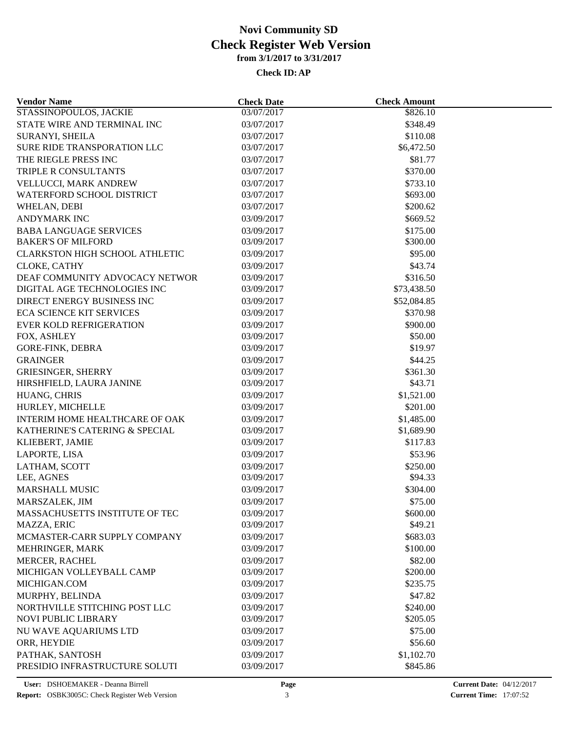| <b>Vendor Name</b>                    | <b>Check Date</b> | <b>Check Amount</b> |  |
|---------------------------------------|-------------------|---------------------|--|
| STASSINOPOULOS, JACKIE                | 03/07/2017        | \$826.10            |  |
| STATE WIRE AND TERMINAL INC           | 03/07/2017        | \$348.49            |  |
| SURANYI, SHEILA                       | 03/07/2017        | \$110.08            |  |
| SURE RIDE TRANSPORATION LLC           | 03/07/2017        | \$6,472.50          |  |
| THE RIEGLE PRESS INC                  | 03/07/2017        | \$81.77             |  |
| TRIPLE R CONSULTANTS                  | 03/07/2017        | \$370.00            |  |
| VELLUCCI, MARK ANDREW                 | 03/07/2017        | \$733.10            |  |
| WATERFORD SCHOOL DISTRICT             | 03/07/2017        | \$693.00            |  |
| WHELAN, DEBI                          | 03/07/2017        | \$200.62            |  |
| <b>ANDYMARK INC</b>                   | 03/09/2017        | \$669.52            |  |
| <b>BABA LANGUAGE SERVICES</b>         | 03/09/2017        | \$175.00            |  |
| <b>BAKER'S OF MILFORD</b>             | 03/09/2017        | \$300.00            |  |
| <b>CLARKSTON HIGH SCHOOL ATHLETIC</b> | 03/09/2017        | \$95.00             |  |
| CLOKE, CATHY                          | 03/09/2017        | \$43.74             |  |
| DEAF COMMUNITY ADVOCACY NETWOR        | 03/09/2017        | \$316.50            |  |
| DIGITAL AGE TECHNOLOGIES INC          | 03/09/2017        | \$73,438.50         |  |
| DIRECT ENERGY BUSINESS INC            | 03/09/2017        | \$52,084.85         |  |
| <b>ECA SCIENCE KIT SERVICES</b>       | 03/09/2017        | \$370.98            |  |
| <b>EVER KOLD REFRIGERATION</b>        | 03/09/2017        | \$900.00            |  |
| FOX, ASHLEY                           | 03/09/2017        | \$50.00             |  |
| <b>GORE-FINK, DEBRA</b>               | 03/09/2017        | \$19.97             |  |
| <b>GRAINGER</b>                       | 03/09/2017        | \$44.25             |  |
| <b>GRIESINGER, SHERRY</b>             | 03/09/2017        | \$361.30            |  |
| HIRSHFIELD, LAURA JANINE              | 03/09/2017        | \$43.71             |  |
| HUANG, CHRIS                          | 03/09/2017        | \$1,521.00          |  |
|                                       |                   |                     |  |
| HURLEY, MICHELLE                      | 03/09/2017        | \$201.00            |  |
| INTERIM HOME HEALTHCARE OF OAK        | 03/09/2017        | \$1,485.00          |  |
| KATHERINE'S CATERING & SPECIAL        | 03/09/2017        | \$1,689.90          |  |
| KLIEBERT, JAMIE                       | 03/09/2017        | \$117.83            |  |
| LAPORTE, LISA                         | 03/09/2017        | \$53.96             |  |
| LATHAM, SCOTT                         | 03/09/2017        | \$250.00            |  |
| LEE, AGNES                            | 03/09/2017        | \$94.33             |  |
| MARSHALL MUSIC                        | 03/09/2017        | \$304.00            |  |
| MARSZALEK, JIM                        | 03/09/2017        | \$75.00             |  |
| MASSACHUSETTS INSTITUTE OF TEC        | 03/09/2017        | \$600.00            |  |
| MAZZA, ERIC                           | 03/09/2017        | \$49.21             |  |
| MCMASTER-CARR SUPPLY COMPANY          | 03/09/2017        | \$683.03            |  |
| MEHRINGER, MARK                       | 03/09/2017        | \$100.00            |  |
| MERCER, RACHEL                        | 03/09/2017        | \$82.00             |  |
| MICHIGAN VOLLEYBALL CAMP              | 03/09/2017        | \$200.00            |  |
| MICHIGAN.COM                          | 03/09/2017        | \$235.75            |  |
| MURPHY, BELINDA                       | 03/09/2017        | \$47.82             |  |
| NORTHVILLE STITCHING POST LLC         | 03/09/2017        | \$240.00            |  |
| NOVI PUBLIC LIBRARY                   | 03/09/2017        | \$205.05            |  |
| NU WAVE AQUARIUMS LTD                 | 03/09/2017        | \$75.00             |  |
| ORR, HEYDIE                           | 03/09/2017        | \$56.60             |  |
| PATHAK, SANTOSH                       | 03/09/2017        | \$1,102.70          |  |
| PRESIDIO INFRASTRUCTURE SOLUTI        | 03/09/2017        | \$845.86            |  |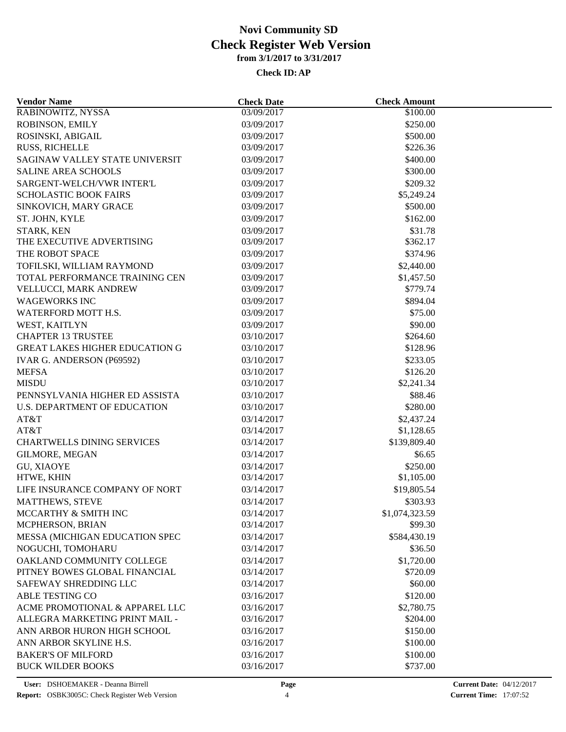| <b>Vendor Name</b>                    | <b>Check Date</b> | <b>Check Amount</b> |  |  |  |
|---------------------------------------|-------------------|---------------------|--|--|--|
| RABINOWITZ, NYSSA                     | 03/09/2017        | \$100.00            |  |  |  |
| ROBINSON, EMILY                       | 03/09/2017        | \$250.00            |  |  |  |
| ROSINSKI, ABIGAIL                     | 03/09/2017        | \$500.00            |  |  |  |
| <b>RUSS, RICHELLE</b>                 | 03/09/2017        | \$226.36            |  |  |  |
| SAGINAW VALLEY STATE UNIVERSIT        | 03/09/2017        | \$400.00            |  |  |  |
| <b>SALINE AREA SCHOOLS</b>            | 03/09/2017        | \$300.00            |  |  |  |
| SARGENT-WELCH/VWR INTER'L             | 03/09/2017        | \$209.32            |  |  |  |
| <b>SCHOLASTIC BOOK FAIRS</b>          | 03/09/2017        | \$5,249.24          |  |  |  |
| SINKOVICH, MARY GRACE                 | 03/09/2017        | \$500.00            |  |  |  |
| ST. JOHN, KYLE                        | 03/09/2017        | \$162.00            |  |  |  |
| STARK, KEN                            | 03/09/2017        | \$31.78             |  |  |  |
| THE EXECUTIVE ADVERTISING             | 03/09/2017        | \$362.17            |  |  |  |
| THE ROBOT SPACE                       | 03/09/2017        | \$374.96            |  |  |  |
| TOFILSKI, WILLIAM RAYMOND             | 03/09/2017        | \$2,440.00          |  |  |  |
| TOTAL PERFORMANCE TRAINING CEN        | 03/09/2017        | \$1,457.50          |  |  |  |
| VELLUCCI, MARK ANDREW                 | 03/09/2017        | \$779.74            |  |  |  |
| <b>WAGEWORKS INC</b>                  | 03/09/2017        | \$894.04            |  |  |  |
| WATERFORD MOTT H.S.                   | 03/09/2017        | \$75.00             |  |  |  |
| WEST, KAITLYN                         | 03/09/2017        | \$90.00             |  |  |  |
| <b>CHAPTER 13 TRUSTEE</b>             | 03/10/2017        | \$264.60            |  |  |  |
| <b>GREAT LAKES HIGHER EDUCATION G</b> | 03/10/2017        | \$128.96            |  |  |  |
| IVAR G. ANDERSON (P69592)             | 03/10/2017        | \$233.05            |  |  |  |
| <b>MEFSA</b>                          | 03/10/2017        | \$126.20            |  |  |  |
| <b>MISDU</b>                          | 03/10/2017        | \$2,241.34          |  |  |  |
| PENNSYLVANIA HIGHER ED ASSISTA        | 03/10/2017        | \$88.46             |  |  |  |
| <b>U.S. DEPARTMENT OF EDUCATION</b>   | 03/10/2017        | \$280.00            |  |  |  |
| AT&T                                  | 03/14/2017        | \$2,437.24          |  |  |  |
| AT&T                                  | 03/14/2017        | \$1,128.65          |  |  |  |
| <b>CHARTWELLS DINING SERVICES</b>     | 03/14/2017        | \$139,809.40        |  |  |  |
| GILMORE, MEGAN                        | 03/14/2017        | \$6.65              |  |  |  |
|                                       | 03/14/2017        | \$250.00            |  |  |  |
| <b>GU, XIAOYE</b><br>HTWE, KHIN       | 03/14/2017        | \$1,105.00          |  |  |  |
| LIFE INSURANCE COMPANY OF NORT        | 03/14/2017        | \$19,805.54         |  |  |  |
| <b>MATTHEWS, STEVE</b>                |                   | \$303.93            |  |  |  |
|                                       | 03/14/2017        |                     |  |  |  |
| MCCARTHY & SMITH INC                  | 03/14/2017        | \$1,074,323.59      |  |  |  |
| MCPHERSON, BRIAN                      | 03/14/2017        | \$99.30             |  |  |  |
| MESSA (MICHIGAN EDUCATION SPEC        | 03/14/2017        | \$584,430.19        |  |  |  |
| NOGUCHI, TOMOHARU                     | 03/14/2017        | \$36.50             |  |  |  |
| OAKLAND COMMUNITY COLLEGE             | 03/14/2017        | \$1,720.00          |  |  |  |
| PITNEY BOWES GLOBAL FINANCIAL         | 03/14/2017        | \$720.09            |  |  |  |
| SAFEWAY SHREDDING LLC                 | 03/14/2017        | \$60.00             |  |  |  |
| ABLE TESTING CO                       | 03/16/2017        | \$120.00            |  |  |  |
| ACME PROMOTIONAL & APPAREL LLC        | 03/16/2017        | \$2,780.75          |  |  |  |
| ALLEGRA MARKETING PRINT MAIL -        | 03/16/2017        | \$204.00            |  |  |  |
| ANN ARBOR HURON HIGH SCHOOL           | 03/16/2017        | \$150.00            |  |  |  |
| ANN ARBOR SKYLINE H.S.                | 03/16/2017        | \$100.00            |  |  |  |
| <b>BAKER'S OF MILFORD</b>             | 03/16/2017        | \$100.00            |  |  |  |
| <b>BUCK WILDER BOOKS</b>              | 03/16/2017        | \$737.00            |  |  |  |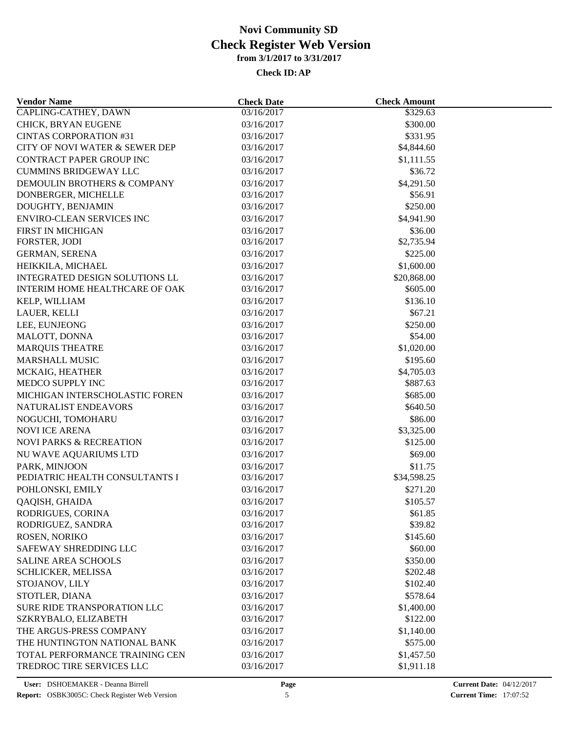| <b>Vendor Name</b>                    | <b>Check Date</b> | <b>Check Amount</b> |  |  |  |
|---------------------------------------|-------------------|---------------------|--|--|--|
| <b>CAPLING-CATHEY, DAWN</b>           | 03/16/2017        | \$329.63            |  |  |  |
| CHICK, BRYAN EUGENE                   | 03/16/2017        | \$300.00            |  |  |  |
| <b>CINTAS CORPORATION #31</b>         | 03/16/2017        | \$331.95            |  |  |  |
| CITY OF NOVI WATER & SEWER DEP        | 03/16/2017        | \$4,844.60          |  |  |  |
| CONTRACT PAPER GROUP INC              | 03/16/2017        | \$1,111.55          |  |  |  |
| <b>CUMMINS BRIDGEWAY LLC</b>          | 03/16/2017        | \$36.72             |  |  |  |
| DEMOULIN BROTHERS & COMPANY           | 03/16/2017        | \$4,291.50          |  |  |  |
| DONBERGER, MICHELLE                   | 03/16/2017        | \$56.91             |  |  |  |
| DOUGHTY, BENJAMIN                     | 03/16/2017        | \$250.00            |  |  |  |
| <b>ENVIRO-CLEAN SERVICES INC</b>      | 03/16/2017        | \$4,941.90          |  |  |  |
| FIRST IN MICHIGAN                     | 03/16/2017        | \$36.00             |  |  |  |
| FORSTER, JODI                         | 03/16/2017        | \$2,735.94          |  |  |  |
| <b>GERMAN, SERENA</b>                 | 03/16/2017        | \$225.00            |  |  |  |
| HEIKKILA, MICHAEL                     | 03/16/2017        | \$1,600.00          |  |  |  |
| <b>INTEGRATED DESIGN SOLUTIONS LL</b> | 03/16/2017        | \$20,868.00         |  |  |  |
| INTERIM HOME HEALTHCARE OF OAK        | 03/16/2017        | \$605.00            |  |  |  |
| KELP, WILLIAM                         | 03/16/2017        | \$136.10            |  |  |  |
| LAUER, KELLI                          | 03/16/2017        | \$67.21             |  |  |  |
| LEE, EUNJEONG                         | 03/16/2017        | \$250.00            |  |  |  |
| MALOTT, DONNA                         | 03/16/2017        | \$54.00             |  |  |  |
| <b>MARQUIS THEATRE</b>                | 03/16/2017        | \$1,020.00          |  |  |  |
| <b>MARSHALL MUSIC</b>                 | 03/16/2017        | \$195.60            |  |  |  |
| MCKAIG, HEATHER                       | 03/16/2017        | \$4,705.03          |  |  |  |
| MEDCO SUPPLY INC                      | 03/16/2017        | \$887.63            |  |  |  |
| MICHIGAN INTERSCHOLASTIC FOREN        | 03/16/2017        | \$685.00            |  |  |  |
| NATURALIST ENDEAVORS                  | 03/16/2017        | \$640.50            |  |  |  |
| NOGUCHI, TOMOHARU                     | 03/16/2017        | \$86.00             |  |  |  |
| <b>NOVI ICE ARENA</b>                 | 03/16/2017        | \$3,325.00          |  |  |  |
| <b>NOVI PARKS &amp; RECREATION</b>    | 03/16/2017        | \$125.00            |  |  |  |
| NU WAVE AQUARIUMS LTD                 | 03/16/2017        | \$69.00             |  |  |  |
| PARK, MINJOON                         | 03/16/2017        | \$11.75             |  |  |  |
| PEDIATRIC HEALTH CONSULTANTS I        | 03/16/2017        | \$34,598.25         |  |  |  |
| POHLONSKI, EMILY                      | 03/16/2017        | \$271.20            |  |  |  |
| QAQISH, GHAIDA                        | 03/16/2017        | \$105.57            |  |  |  |
| RODRIGUES, CORINA                     | 03/16/2017        | \$61.85             |  |  |  |
| RODRIGUEZ, SANDRA                     | 03/16/2017        | \$39.82             |  |  |  |
| ROSEN, NORIKO                         | 03/16/2017        | \$145.60            |  |  |  |
| SAFEWAY SHREDDING LLC                 | 03/16/2017        | \$60.00             |  |  |  |
| <b>SALINE AREA SCHOOLS</b>            | 03/16/2017        | \$350.00            |  |  |  |
| SCHLICKER, MELISSA                    | 03/16/2017        | \$202.48            |  |  |  |
| STOJANOV, LILY                        | 03/16/2017        | \$102.40            |  |  |  |
|                                       |                   |                     |  |  |  |
| STOTLER, DIANA                        | 03/16/2017        | \$578.64            |  |  |  |
| SURE RIDE TRANSPORATION LLC           | 03/16/2017        | \$1,400.00          |  |  |  |
| SZKRYBALO, ELIZABETH                  | 03/16/2017        | \$122.00            |  |  |  |
| THE ARGUS-PRESS COMPANY               | 03/16/2017        | \$1,140.00          |  |  |  |
| THE HUNTINGTON NATIONAL BANK          | 03/16/2017        | \$575.00            |  |  |  |
| TOTAL PERFORMANCE TRAINING CEN        | 03/16/2017        | \$1,457.50          |  |  |  |
| TREDROC TIRE SERVICES LLC             | 03/16/2017        | \$1,911.18          |  |  |  |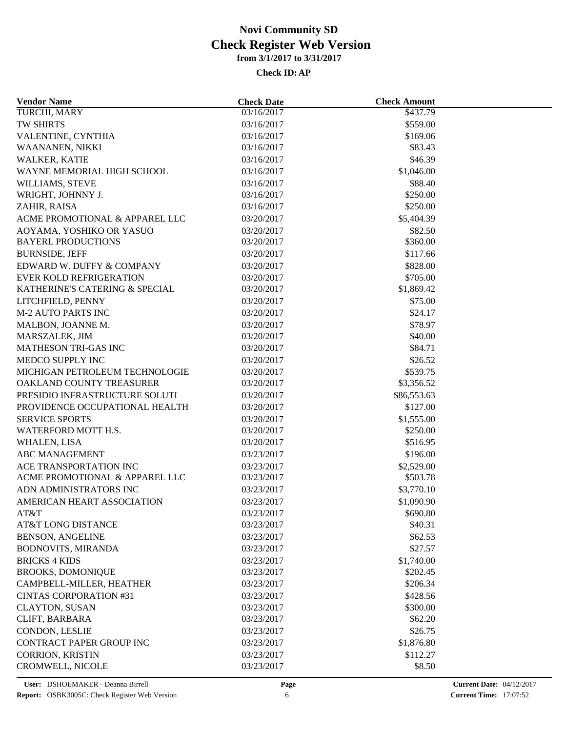| <b>Vendor Name</b>                                         | <b>Check Date</b> | <b>Check Amount</b> |  |
|------------------------------------------------------------|-------------------|---------------------|--|
| TURCHI, MARY                                               | 03/16/2017        | \$437.79            |  |
| <b>TW SHIRTS</b>                                           | 03/16/2017        | \$559.00            |  |
| VALENTINE, CYNTHIA                                         | 03/16/2017        | \$169.06            |  |
| WAANANEN, NIKKI                                            | 03/16/2017        | \$83.43             |  |
| WALKER, KATIE                                              | 03/16/2017        | \$46.39             |  |
| WAYNE MEMORIAL HIGH SCHOOL                                 | 03/16/2017        | \$1,046.00          |  |
| WILLIAMS, STEVE                                            | 03/16/2017        | \$88.40             |  |
| WRIGHT, JOHNNY J.                                          | 03/16/2017        | \$250.00            |  |
| ZAHIR, RAISA                                               | 03/16/2017        | \$250.00            |  |
| ACME PROMOTIONAL & APPAREL LLC                             | 03/20/2017        | \$5,404.39          |  |
| AOYAMA, YOSHIKO OR YASUO                                   | 03/20/2017        | \$82.50             |  |
| <b>BAYERL PRODUCTIONS</b>                                  | 03/20/2017        | \$360.00            |  |
| <b>BURNSIDE, JEFF</b>                                      | 03/20/2017        | \$117.66            |  |
| EDWARD W. DUFFY & COMPANY                                  | 03/20/2017        | \$828.00            |  |
| <b>EVER KOLD REFRIGERATION</b>                             | 03/20/2017        | \$705.00            |  |
| KATHERINE'S CATERING & SPECIAL                             | 03/20/2017        | \$1,869.42          |  |
| LITCHFIELD, PENNY                                          | 03/20/2017        | \$75.00             |  |
| <b>M-2 AUTO PARTS INC</b>                                  | 03/20/2017        | \$24.17             |  |
| MALBON, JOANNE M.                                          | 03/20/2017        | \$78.97             |  |
| MARSZALEK, JIM                                             | 03/20/2017        | \$40.00             |  |
| MATHESON TRI-GAS INC                                       | 03/20/2017        | \$84.71             |  |
| MEDCO SUPPLY INC                                           | 03/20/2017        |                     |  |
|                                                            |                   | \$26.52             |  |
| MICHIGAN PETROLEUM TECHNOLOGIE<br>OAKLAND COUNTY TREASURER | 03/20/2017        | \$539.75            |  |
|                                                            | 03/20/2017        | \$3,356.52          |  |
| PRESIDIO INFRASTRUCTURE SOLUTI                             | 03/20/2017        | \$86,553.63         |  |
| PROVIDENCE OCCUPATIONAL HEALTH                             | 03/20/2017        | \$127.00            |  |
| <b>SERVICE SPORTS</b>                                      | 03/20/2017        | \$1,555.00          |  |
| WATERFORD MOTT H.S.                                        | 03/20/2017        | \$250.00            |  |
| WHALEN, LISA                                               | 03/20/2017        | \$516.95            |  |
| <b>ABC MANAGEMENT</b>                                      | 03/23/2017        | \$196.00            |  |
| <b>ACE TRANSPORTATION INC</b>                              | 03/23/2017        | \$2,529.00          |  |
| ACME PROMOTIONAL & APPAREL LLC                             | 03/23/2017        | \$503.78            |  |
| ADN ADMINISTRATORS INC                                     | 03/23/2017        | \$3,770.10          |  |
| AMERICAN HEART ASSOCIATION                                 | 03/23/2017        | \$1,090.90          |  |
| AT&T                                                       | 03/23/2017        | \$690.80            |  |
| AT&T LONG DISTANCE                                         | 03/23/2017        | \$40.31             |  |
| <b>BENSON, ANGELINE</b>                                    | 03/23/2017        | \$62.53             |  |
| <b>BODNOVITS, MIRANDA</b>                                  | 03/23/2017        | \$27.57             |  |
| <b>BRICKS 4 KIDS</b>                                       | 03/23/2017        | \$1,740.00          |  |
| <b>BROOKS, DOMONIQUE</b>                                   | 03/23/2017        | \$202.45            |  |
| CAMPBELL-MILLER, HEATHER                                   | 03/23/2017        | \$206.34            |  |
| <b>CINTAS CORPORATION #31</b>                              | 03/23/2017        | \$428.56            |  |
| <b>CLAYTON, SUSAN</b>                                      | 03/23/2017        | \$300.00            |  |
| CLIFT, BARBARA                                             | 03/23/2017        | \$62.20             |  |
| CONDON, LESLIE                                             | 03/23/2017        | \$26.75             |  |
| CONTRACT PAPER GROUP INC                                   | 03/23/2017        | \$1,876.80          |  |
| <b>CORRION, KRISTIN</b>                                    | 03/23/2017        | \$112.27            |  |
| CROMWELL, NICOLE                                           | 03/23/2017        | \$8.50              |  |
|                                                            |                   |                     |  |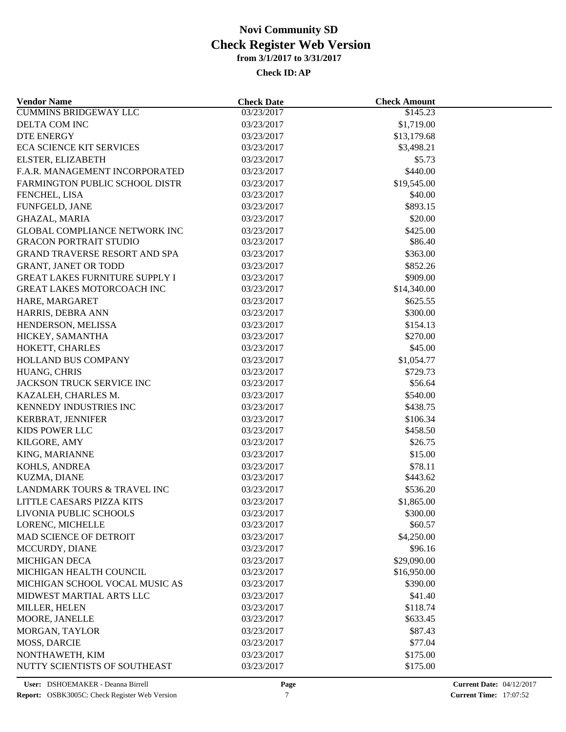| <b>Vendor Name</b>                    | <b>Check Date</b>        | <b>Check Amount</b> |  |
|---------------------------------------|--------------------------|---------------------|--|
| <b>CUMMINS BRIDGEWAY LLC</b>          | 03/23/2017               | \$145.23            |  |
| DELTA COM INC                         | 03/23/2017               | \$1,719.00          |  |
| <b>DTE ENERGY</b>                     | 03/23/2017               | \$13,179.68         |  |
| <b>ECA SCIENCE KIT SERVICES</b>       | 03/23/2017               | \$3,498.21          |  |
| ELSTER, ELIZABETH                     | 03/23/2017               | \$5.73              |  |
| F.A.R. MANAGEMENT INCORPORATED        | 03/23/2017               | \$440.00            |  |
| FARMINGTON PUBLIC SCHOOL DISTR        | 03/23/2017               | \$19,545.00         |  |
| FENCHEL, LISA                         | 03/23/2017               | \$40.00             |  |
| FUNFGELD, JANE                        | 03/23/2017               | \$893.15            |  |
| <b>GHAZAL, MARIA</b>                  | 03/23/2017               | \$20.00             |  |
| <b>GLOBAL COMPLIANCE NETWORK INC</b>  | 03/23/2017               | \$425.00            |  |
| <b>GRACON PORTRAIT STUDIO</b>         | 03/23/2017               | \$86.40             |  |
| GRAND TRAVERSE RESORT AND SPA         | 03/23/2017               | \$363.00            |  |
| <b>GRANT, JANET OR TODD</b>           | 03/23/2017               | \$852.26            |  |
| <b>GREAT LAKES FURNITURE SUPPLY I</b> | 03/23/2017               | \$909.00            |  |
| GREAT LAKES MOTORCOACH INC            | 03/23/2017               | \$14,340.00         |  |
| HARE, MARGARET                        | 03/23/2017               | \$625.55            |  |
| HARRIS, DEBRA ANN                     | 03/23/2017               | \$300.00            |  |
| HENDERSON, MELISSA                    | 03/23/2017               | \$154.13            |  |
| HICKEY, SAMANTHA                      | 03/23/2017               | \$270.00            |  |
| HOKETT, CHARLES                       | 03/23/2017               | \$45.00             |  |
| <b>HOLLAND BUS COMPANY</b>            | 03/23/2017               | \$1,054.77          |  |
| HUANG, CHRIS                          | 03/23/2017               | \$729.73            |  |
| JACKSON TRUCK SERVICE INC             | 03/23/2017               | \$56.64             |  |
| KAZALEH, CHARLES M.                   | 03/23/2017               | \$540.00            |  |
| KENNEDY INDUSTRIES INC                | 03/23/2017               | \$438.75            |  |
| KERBRAT, JENNIFER                     | 03/23/2017               | \$106.34            |  |
| KIDS POWER LLC                        | 03/23/2017               | \$458.50            |  |
| KILGORE, AMY                          | 03/23/2017               | \$26.75             |  |
| KING, MARIANNE                        | 03/23/2017               | \$15.00             |  |
| KOHLS, ANDREA                         |                          | \$78.11             |  |
| KUZMA, DIANE                          | 03/23/2017<br>03/23/2017 | \$443.62            |  |
| LANDMARK TOURS & TRAVEL INC           | 03/23/2017               | \$536.20            |  |
|                                       |                          |                     |  |
| LITTLE CAESARS PIZZA KITS             | 03/23/2017               | \$1,865.00          |  |
| LIVONIA PUBLIC SCHOOLS                | 03/23/2017               | \$300.00            |  |
| LORENC, MICHELLE                      | 03/23/2017               | \$60.57             |  |
| <b>MAD SCIENCE OF DETROIT</b>         | 03/23/2017               | \$4,250.00          |  |
| MCCURDY, DIANE                        | 03/23/2017               | \$96.16             |  |
| <b>MICHIGAN DECA</b>                  | 03/23/2017               | \$29,090.00         |  |
| MICHIGAN HEALTH COUNCIL               | 03/23/2017               | \$16,950.00         |  |
| MICHIGAN SCHOOL VOCAL MUSIC AS        | 03/23/2017               | \$390.00            |  |
| MIDWEST MARTIAL ARTS LLC              | 03/23/2017               | \$41.40             |  |
| MILLER, HELEN                         | 03/23/2017               | \$118.74            |  |
| MOORE, JANELLE                        | 03/23/2017               | \$633.45            |  |
| MORGAN, TAYLOR                        | 03/23/2017               | \$87.43             |  |
| <b>MOSS, DARCIE</b>                   | 03/23/2017               | \$77.04             |  |
| NONTHAWETH, KIM                       | 03/23/2017               | \$175.00            |  |
| NUTTY SCIENTISTS OF SOUTHEAST         | 03/23/2017               | \$175.00            |  |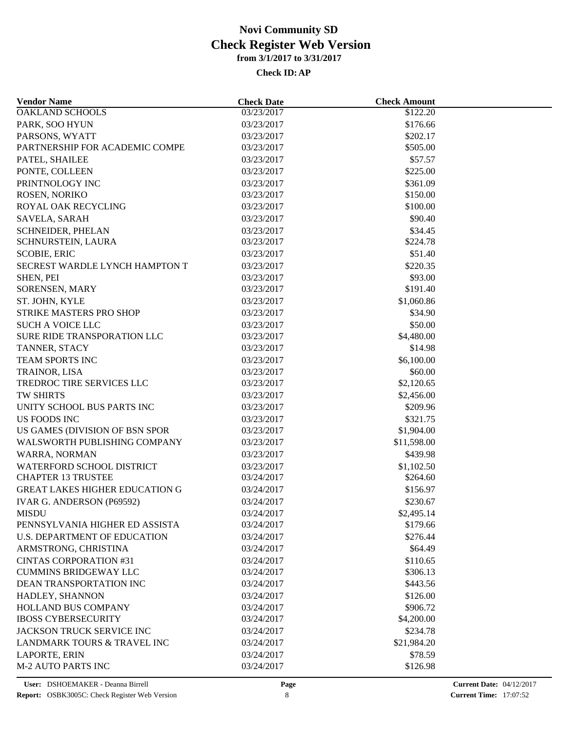| <b>Vendor Name</b>                    | <b>Check Date</b> | <b>Check Amount</b> |  |  |  |
|---------------------------------------|-------------------|---------------------|--|--|--|
| <b>OAKLAND SCHOOLS</b>                | 03/23/2017        | \$122.20            |  |  |  |
| PARK, SOO HYUN                        | 03/23/2017        | \$176.66            |  |  |  |
| PARSONS, WYATT                        | 03/23/2017        | \$202.17            |  |  |  |
| PARTNERSHIP FOR ACADEMIC COMPE        | 03/23/2017        | \$505.00            |  |  |  |
| PATEL, SHAILEE                        | 03/23/2017        | \$57.57             |  |  |  |
| PONTE, COLLEEN                        | 03/23/2017        | \$225.00            |  |  |  |
| PRINTNOLOGY INC                       | 03/23/2017        | \$361.09            |  |  |  |
| ROSEN, NORIKO                         | 03/23/2017        | \$150.00            |  |  |  |
| ROYAL OAK RECYCLING                   | 03/23/2017        | \$100.00            |  |  |  |
| SAVELA, SARAH                         | 03/23/2017        | \$90.40             |  |  |  |
| SCHNEIDER, PHELAN                     | 03/23/2017        | \$34.45             |  |  |  |
| SCHNURSTEIN, LAURA                    | 03/23/2017        | \$224.78            |  |  |  |
| <b>SCOBIE, ERIC</b>                   | 03/23/2017        | \$51.40             |  |  |  |
| SECREST WARDLE LYNCH HAMPTON T        | 03/23/2017        | \$220.35            |  |  |  |
| SHEN, PEI                             | 03/23/2017        | \$93.00             |  |  |  |
| SORENSEN, MARY                        | 03/23/2017        | \$191.40            |  |  |  |
| ST. JOHN, KYLE                        | 03/23/2017        | \$1,060.86          |  |  |  |
| STRIKE MASTERS PRO SHOP               | 03/23/2017        | \$34.90             |  |  |  |
| <b>SUCH A VOICE LLC</b>               | 03/23/2017        | \$50.00             |  |  |  |
| SURE RIDE TRANSPORATION LLC           | 03/23/2017        | \$4,480.00          |  |  |  |
| TANNER, STACY                         | 03/23/2017        | \$14.98             |  |  |  |
| <b>TEAM SPORTS INC</b>                | 03/23/2017        | \$6,100.00          |  |  |  |
| TRAINOR, LISA                         | 03/23/2017        | \$60.00             |  |  |  |
| TREDROC TIRE SERVICES LLC             | 03/23/2017        | \$2,120.65          |  |  |  |
| TW SHIRTS                             | 03/23/2017        | \$2,456.00          |  |  |  |
|                                       |                   | \$209.96            |  |  |  |
| UNITY SCHOOL BUS PARTS INC            | 03/23/2017        |                     |  |  |  |
| <b>US FOODS INC</b>                   | 03/23/2017        | \$321.75            |  |  |  |
| US GAMES (DIVISION OF BSN SPOR        | 03/23/2017        | \$1,904.00          |  |  |  |
| WALSWORTH PUBLISHING COMPANY          | 03/23/2017        | \$11,598.00         |  |  |  |
| WARRA, NORMAN                         | 03/23/2017        | \$439.98            |  |  |  |
| WATERFORD SCHOOL DISTRICT             | 03/23/2017        | \$1,102.50          |  |  |  |
| <b>CHAPTER 13 TRUSTEE</b>             | 03/24/2017        | \$264.60            |  |  |  |
| <b>GREAT LAKES HIGHER EDUCATION G</b> | 03/24/2017        | \$156.97            |  |  |  |
| IVAR G. ANDERSON (P69592)             | 03/24/2017        | \$230.67            |  |  |  |
| <b>MISDU</b>                          | 03/24/2017        | \$2,495.14          |  |  |  |
| PENNSYLVANIA HIGHER ED ASSISTA        | 03/24/2017        | \$179.66            |  |  |  |
| U.S. DEPARTMENT OF EDUCATION          | 03/24/2017        | \$276.44            |  |  |  |
| ARMSTRONG, CHRISTINA                  | 03/24/2017        | \$64.49             |  |  |  |
| <b>CINTAS CORPORATION #31</b>         | 03/24/2017        | \$110.65            |  |  |  |
| <b>CUMMINS BRIDGEWAY LLC</b>          | 03/24/2017        | \$306.13            |  |  |  |
| DEAN TRANSPORTATION INC               | 03/24/2017        | \$443.56            |  |  |  |
| HADLEY, SHANNON                       | 03/24/2017        | \$126.00            |  |  |  |
| HOLLAND BUS COMPANY                   | 03/24/2017        | \$906.72            |  |  |  |
| <b>IBOSS CYBERSECURITY</b>            | 03/24/2017        | \$4,200.00          |  |  |  |
| <b>JACKSON TRUCK SERVICE INC</b>      | 03/24/2017        | \$234.78            |  |  |  |
| LANDMARK TOURS & TRAVEL INC           | 03/24/2017        | \$21,984.20         |  |  |  |
| <b>LAPORTE, ERIN</b>                  | 03/24/2017        | \$78.59             |  |  |  |
| <b>M-2 AUTO PARTS INC</b>             | 03/24/2017        | \$126.98            |  |  |  |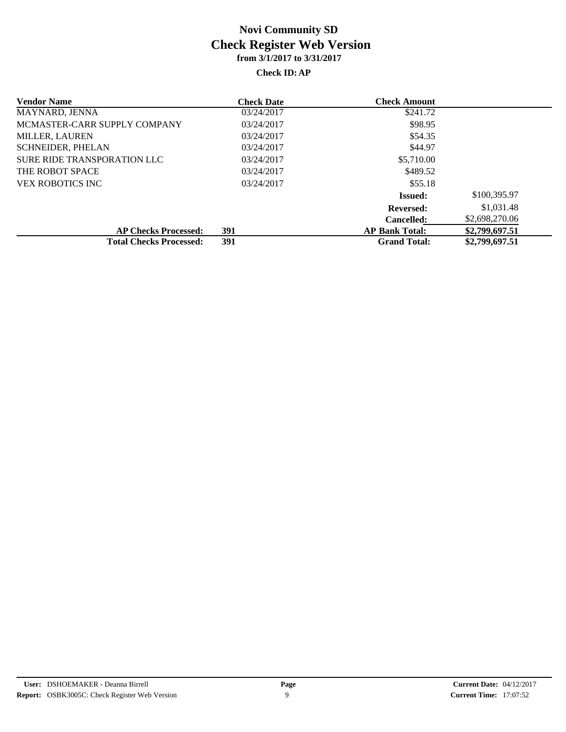| <b>Vendor Name</b>             | <b>Check Date</b> | <b>Check Amount</b>   |                |
|--------------------------------|-------------------|-----------------------|----------------|
| MAYNARD, JENNA                 | 03/24/2017        | \$241.72              |                |
| MCMASTER-CARR SUPPLY COMPANY   | 03/24/2017        | \$98.95               |                |
| <b>MILLER, LAUREN</b>          | 03/24/2017        | \$54.35               |                |
| <b>SCHNEIDER, PHELAN</b>       | 03/24/2017        | \$44.97               |                |
| SURE RIDE TRANSPORATION LLC    | 03/24/2017        | \$5,710.00            |                |
| THE ROBOT SPACE                | 03/24/2017        | \$489.52              |                |
| VEX ROBOTICS INC               | 03/24/2017        | \$55.18               |                |
|                                |                   | <b>Issued:</b>        | \$100,395.97   |
|                                |                   | <b>Reversed:</b>      | \$1,031.48     |
|                                |                   | <b>Cancelled:</b>     | \$2,698,270.06 |
| <b>AP Checks Processed:</b>    | 391               | <b>AP Bank Total:</b> | \$2,799,697.51 |
| <b>Total Checks Processed:</b> | 391               | <b>Grand Total:</b>   | \$2,799,697.51 |